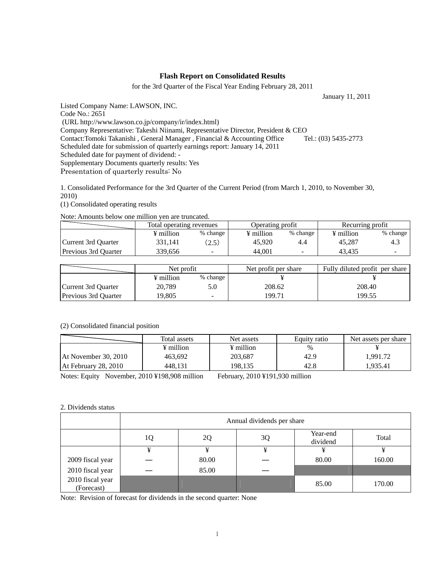### **Flash Report on Consolidated Results**

for the 3rd Quarter of the Fiscal Year Ending February 28, 2011

January 11, 2011

Listed Company Name: LAWSON, INC.

Code No.: 2651

(URL http://www.lawson.co.jp/company/ir/index.html)

Company Representative: Takeshi Niinami, Representative Director, President & CEO

Contact:Tomoki Takanishi , General Manager , Financial & Accounting Office Tel.: (03) 5435-2773

Scheduled date for submission of quarterly earnings report: January 14, 2011

Scheduled date for payment of dividend: -

Supplementary Documents quarterly results: Yes

Presentation of quarterly results: No

1. Consolidated Performance for the 3rd Quarter of the Current Period (from March 1, 2010, to November 30, 2010)

(1) Consolidated operating results

Note: Amounts below one million yen are truncated.

|                             | Total operating revenues |          | Operating profit |          | Recurring profit      |          |
|-----------------------------|--------------------------|----------|------------------|----------|-----------------------|----------|
|                             | ¥ million                | % change | ¥ million        | % change | $\frac{1}{2}$ million | % change |
| Current 3rd Ouarter         | 331.141                  | (2.5)    | 45,920           | 4.4      | 45.287                | 4.3      |
| <b>Previous 3rd Ouarter</b> | 339.656                  | -        | 44.001           |          | 43.435                |          |

|                      | Net profit |          | Net profit per share | Fully diluted profit per share |  |
|----------------------|------------|----------|----------------------|--------------------------------|--|
|                      | ¥ million  | % change |                      |                                |  |
| Current 3rd Ouarter  | 20.789     |          | 208.62               | 208.40                         |  |
| Previous 3rd Quarter | 19.805     | -        | 199.71               | 199.55                         |  |

### (2) Consolidated financial position

|                      | Total assets | Net assets | Equity ratio | Net assets per share |
|----------------------|--------------|------------|--------------|----------------------|
|                      | ¥ million    | ¥ million  | $\%$         |                      |
| At November 30, 2010 | 463.692      | 203,687    | 42.9         | 1,991.72             |
| At February 28, 2010 | 448.131      | 198.135    | 42.8         | 1.935.41             |

Notes: Equity November, 2010 ¥198,908 million February, 2010 ¥191,930 million

### 2. Dividends status

|                                | Annual dividends per share |       |    |                      |        |  |
|--------------------------------|----------------------------|-------|----|----------------------|--------|--|
|                                | 1Q                         | 2Q    | 3Q | Year-end<br>dividend | Total  |  |
|                                | ¥                          |       | ¥  |                      |        |  |
| 2009 fiscal year               |                            | 80.00 |    | 80.00                | 160.00 |  |
| 2010 fiscal year               |                            | 85.00 |    |                      |        |  |
| 2010 fiscal year<br>(Forecast) |                            |       |    | 85.00                | 170.00 |  |

Note: Revision of forecast for dividends in the second quarter: None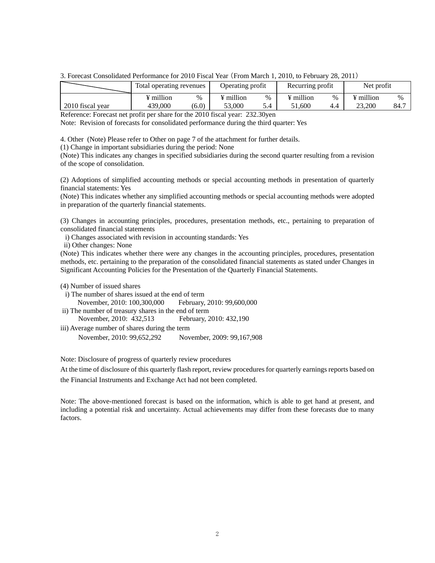3. Forecast Consolidated Performance for 2010 Fiscal Year (From March 1, 2010, to February 28, 2011)

|                  | 1 Total operating revenues |       | Operating profit |   | Recurring profit      |      | Net profit            |      |
|------------------|----------------------------|-------|------------------|---|-----------------------|------|-----------------------|------|
|                  | $\frac{1}{2}$ million      | $\%$  | ¥ million        | % | $\frac{1}{2}$ million | $\%$ | $\frac{1}{2}$ million | $\%$ |
| 2010 fiscal year | 439.000                    | (6.0) | 53,000           |   | 1.600                 |      | 23,200                | 84.7 |

Reference: Forecast net profit per share for the 2010 fiscal year: 232.30yen

Note: Revision of forecasts for consolidated performance during the third quarter: Yes

4. Other (Note) Please refer to Other on page 7 of the attachment for further details.

(1) Change in important subsidiaries during the period: None

(Note) This indicates any changes in specified subsidiaries during the second quarter resulting from a revision of the scope of consolidation.

(2) Adoptions of simplified accounting methods or special accounting methods in presentation of quarterly financial statements: Yes

(Note) This indicates whether any simplified accounting methods or special accounting methods were adopted in preparation of the quarterly financial statements.

(3) Changes in accounting principles, procedures, presentation methods, etc., pertaining to preparation of consolidated financial statements

i) Changes associated with revision in accounting standards: Yes

ii) Other changes: None

(Note) This indicates whether there were any changes in the accounting principles, procedures, presentation methods, etc. pertaining to the preparation of the consolidated financial statements as stated under Changes in Significant Accounting Policies for the Presentation of the Quarterly Financial Statements.

(4) Number of issued shares

i) The number of shares issued at the end of term November, 2010: 100,300,000 February, 2010: 99,600,000

ii) The number of treasury shares in the end of term

November, 2010: 432,513 February, 2010: 432,190

iii) Average number of shares during the term November, 2010: 99,652,292 November, 2009: 99,167,908

Note: Disclosure of progress of quarterly review procedures

At the time of disclosure of this quarterly flash report, review procedures for quarterly earnings reports based on the Financial Instruments and Exchange Act had not been completed.

Note: The above-mentioned forecast is based on the information, which is able to get hand at present, and including a potential risk and uncertainty. Actual achievements may differ from these forecasts due to many factors.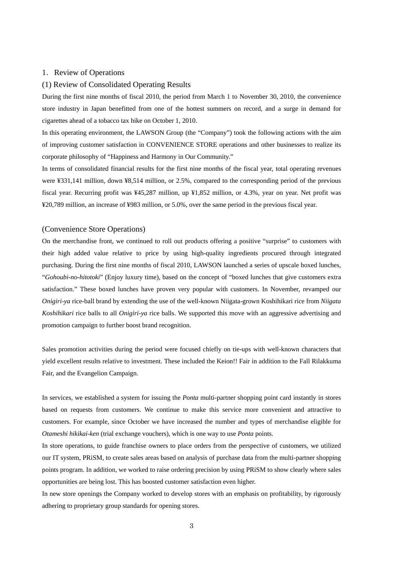### 1.Review of Operations

### (1) Review of Consolidated Operating Results

During the first nine months of fiscal 2010, the period from March 1 to November 30, 2010, the convenience store industry in Japan benefitted from one of the hottest summers on record, and a surge in demand for cigarettes ahead of a tobacco tax hike on October 1, 2010.

In this operating environment, the LAWSON Group (the "Company") took the following actions with the aim of improving customer satisfaction in CONVENIENCE STORE operations and other businesses to realize its corporate philosophy of "Happiness and Harmony in Our Community."

In terms of consolidated financial results for the first nine months of the fiscal year, total operating revenues were ¥331,141 million, down ¥8,514 million, or 2.5%, compared to the corresponding period of the previous fiscal year. Recurring profit was ¥45,287 million, up ¥1,852 million, or 4.3%, year on year. Net profit was ¥20,789 million, an increase of ¥983 million, or 5.0%, over the same period in the previous fiscal year.

#### (Convenience Store Operations)

On the merchandise front, we continued to roll out products offering a positive "surprise" to customers with their high added value relative to price by using high-quality ingredients procured through integrated purchasing. During the first nine months of fiscal 2010, LAWSON launched a series of upscale boxed lunches, "*Gohoubi-no-hitotoki*" (Enjoy luxury time), based on the concept of "boxed lunches that give customers extra satisfaction." These boxed lunches have proven very popular with customers. In November, revamped our *Onigiri-ya* rice-ball brand by extending the use of the well-known Niigata-grown Koshihikari rice from *Niigata Koshihikari* rice balls to all *Onigiri-ya* rice balls. We supported this move with an aggressive advertising and promotion campaign to further boost brand recognition.

Sales promotion activities during the period were focused chiefly on tie-ups with well-known characters that yield excellent results relative to investment. These included the Keion!! Fair in addition to the Fall Rilakkuma Fair, and the Evangelion Campaign.

In services, we established a system for issuing the *Ponta* multi-partner shopping point card instantly in stores based on requests from customers. We continue to make this service more convenient and attractive to customers. For example, since October we have increased the number and types of merchandise eligible for *Otameshi hikikai-ken* (trial exchange vouchers), which is one way to use *Ponta* points.

In store operations, to guide franchise owners to place orders from the perspective of customers, we utilized our IT system, PRiSM, to create sales areas based on analysis of purchase data from the multi-partner shopping points program. In addition, we worked to raise ordering precision by using PRiSM to show clearly where sales opportunities are being lost. This has boosted customer satisfaction even higher.

In new store openings the Company worked to develop stores with an emphasis on profitability, by rigorously adhering to proprietary group standards for opening stores.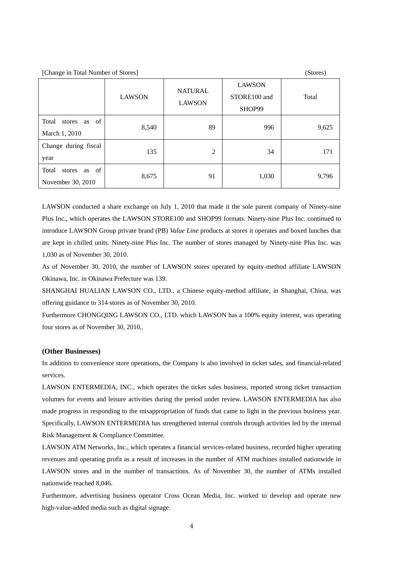[Change in Total Number of Stores] (Stores)

|                                               | <b>LAWSON</b> | <b>NATURAL</b><br><b>LAWSON</b> | <b>LAWSON</b><br>STORE100 and<br>SHOP99 | Total |
|-----------------------------------------------|---------------|---------------------------------|-----------------------------------------|-------|
| Total<br>as of<br>stores<br>March 1, 2010     | 8,540         | 89                              | 996                                     | 9,625 |
| Change during fiscal<br>year                  | 135           | 2                               | 34                                      | 171   |
| Total<br>as of<br>stores<br>November 30, 2010 | 8,675         | 91                              | 1,030                                   | 9,796 |

LAWSON conducted a share exchange on July 1, 2010 that made it the sole parent company of Ninety-nine Plus Inc., which operates the LAWSON STORE100 and SHOP99 formats. Ninety-nine Plus Inc. continued to introduce LAWSON Group private brand (PB) *Value Line* products at stores it operates and boxed lunches that are kept in chilled units. Ninety-nine Plus Inc. The number of stores managed by Ninety-nine Plus Inc. was 1,030 as of November 30, 2010.

As of November 30, 2010, the number of LAWSON stores operated by equity-method affiliate LAWSON Okinawa, Inc. in Okinawa Prefecture was 139.

SHANGHAI HUALIAN LAWSON CO., LTD., a Chinese equity-method affiliate, in Shanghai, China, was offering guidance to 314 stores as of November 30, 2010.

Furthermore CHONGQING LAWSON CO., LTD. which LAWSON has a 100% equity interest, was operating four stores as of November 30, 2010,.

#### **(Other Businesses)**

In addition to convenience store operations, the Company is also involved in ticket sales, and financial-related services.

LAWSON ENTERMEDIA, INC., which operates the ticket sales business, reported strong ticket transaction volumes for events and leisure activities during the period under review. LAWSON ENTERMEDIA has also made progress in responding to the misappropriation of funds that came to light in the previous business year. Specifically, LAWSON ENTERMEDIA has strengthened internal controls through activities led by the internal Risk Management & Compliance Committee.

LAWSON ATM Networks, Inc., which operates a financial services-related business, recorded higher operating revenues and operating profit as a result of increases in the number of ATM machines installed nationwide in LAWSON stores and in the number of transactions. As of November 30, the number of ATMs installed nationwide reached 8,046.

Furthermore, advertising business operator Cross Ocean Media, Inc. worked to develop and operate new high-value-added media such as digital signage.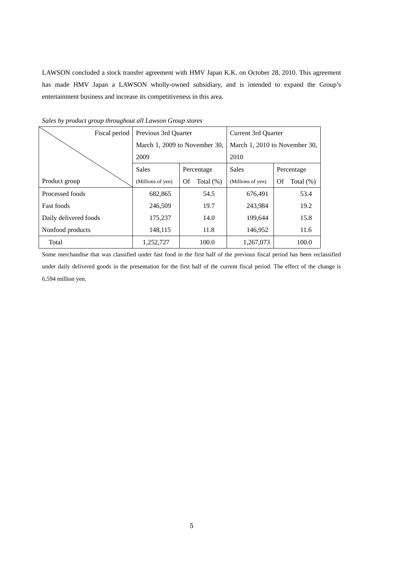LAWSON concluded a stock transfer agreement with HMV Japan K.K. on October 28, 2010. This agreement has made HMV Japan a LAWSON wholly-owned subsidiary, and is intended to expand the Group's entertainment business and increase its competitiveness in this area.

| Fiscal period         | Previous 3rd Ouarter          |                    | Current 3rd Quarter           |                    |  |
|-----------------------|-------------------------------|--------------------|-------------------------------|--------------------|--|
|                       | March 1, 2009 to November 30, |                    | March 1, 2010 to November 30, |                    |  |
|                       | 2009<br>Sales<br>Percentage   |                    | 2010                          |                    |  |
|                       |                               |                    | <b>Sales</b>                  | Percentage         |  |
| Product group         | (Millions of yen)             | Total $(\%)$<br>Of | (Millions of yen)             | Total $(\%)$<br>Of |  |
| Processed foods       | 682,865                       | 54.5               | 676,491                       | 53.4               |  |
| <b>Fast foods</b>     | 246,509                       | 19.7               | 243,984                       | 19.2               |  |
| Daily delivered foods | 175,237                       | 14.0               | 199,644                       | 15.8               |  |
| Nonfood products      | 148,115                       | 11.8               | 146,952                       | 11.6               |  |
| Total                 | 1,252,727                     | 100.0              | 1,267,073                     | 100.0              |  |

*Sales by product group throughout all Lawson Group stores* 

Some merchandise that was classified under fast food in the first half of the previous fiscal period has been reclassified under daily delivered goods in the presentation for the first half of the current fiscal period. The effect of the change is 6,594 million yen.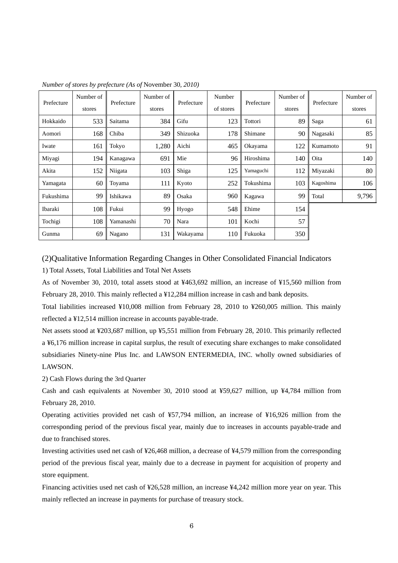| Prefecture | Number of | Prefecture | Number of | Prefecture | Number | Prefecture | Number of | Prefecture | Number of |
|------------|-----------|------------|-----------|------------|--------|------------|-----------|------------|-----------|
|            | stores    |            | stores    | of stores  |        | stores     |           | stores     |           |
| Hokkaido   | 533       | Saitama    | 384       | Gifu       | 123    | Tottori    | 89        | Saga       | 61        |
| Aomori     | 168       | Chiba      | 349       | Shizuoka   | 178    | Shimane    | 90        | Nagasaki   | 85        |
| Iwate      | 161       | Tokyo      | 1,280     | Aichi      | 465    | Okayama    | 122       | Kumamoto   | 91        |
| Miyagi     | 194       | Kanagawa   | 691       | Mie        | 96     | Hiroshima  | 140       | Oita       | 140       |
| Akita      | 152       | Niigata    | 103       | Shiga      | 125    | Yamaguchi  | 112       | Miyazaki   | 80        |
| Yamagata   | 60        | Toyama     | 111       | Kyoto      | 252    | Tokushima  | 103       | Kagoshima  | 106       |
| Fukushima  | 99        | Ishikawa   | 89        | Osaka      | 960    | Kagawa     | 99        | Total      | 9,796     |
| Ibaraki    | 108       | Fukui      | 99        | Hyogo      | 548    | Ehime      | 154       |            |           |
| Tochigi    | 108       | Yamanashi  | 70        | Nara       | 101    | Kochi      | 57        |            |           |
| Gunma      | 69        | Nagano     | 131       | Wakayama   | 110    | Fukuoka    | 350       |            |           |

*Number of stores by prefecture (As of* November 30*, 2010)* 

(2)Qualitative Information Regarding Changes in Other Consolidated Financial Indicators 1) Total Assets, Total Liabilities and Total Net Assets

As of November 30, 2010, total assets stood at ¥463,692 million, an increase of ¥15,560 million from February 28, 2010. This mainly reflected a ¥12,284 million increase in cash and bank deposits.

Total liabilities increased ¥10,008 million from February 28, 2010 to ¥260,005 million. This mainly reflected a ¥12,514 million increase in accounts payable-trade.

Net assets stood at ¥203,687 million, up ¥5,551 million from February 28, 2010. This primarily reflected a ¥6,176 million increase in capital surplus, the result of executing share exchanges to make consolidated subsidiaries Ninety-nine Plus Inc. and LAWSON ENTERMEDIA, INC. wholly owned subsidiaries of LAWSON.

2) Cash Flows during the 3rd Quarter

Cash and cash equivalents at November 30, 2010 stood at ¥59,627 million, up ¥4,784 million from February 28, 2010.

Operating activities provided net cash of ¥57,794 million, an increase of ¥16,926 million from the corresponding period of the previous fiscal year, mainly due to increases in accounts payable-trade and due to franchised stores.

Investing activities used net cash of ¥26,468 million, a decrease of ¥4,579 million from the corresponding period of the previous fiscal year, mainly due to a decrease in payment for acquisition of property and store equipment.

Financing activities used net cash of ¥26,528 million, an increase ¥4,242 million more year on year. This mainly reflected an increase in payments for purchase of treasury stock.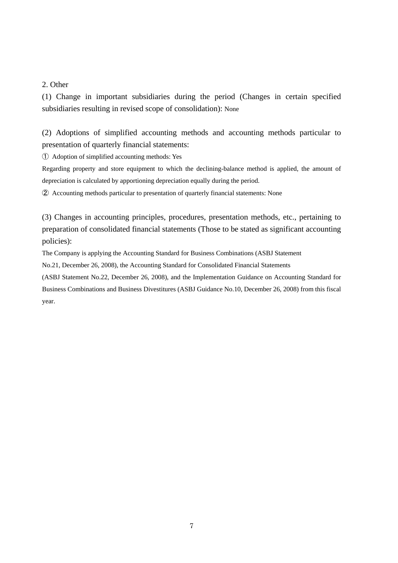### 2. Other

(1) Change in important subsidiaries during the period (Changes in certain specified subsidiaries resulting in revised scope of consolidation): None

(2) Adoptions of simplified accounting methods and accounting methods particular to presentation of quarterly financial statements:

① Adoption of simplified accounting methods: Yes

Regarding property and store equipment to which the declining-balance method is applied, the amount of depreciation is calculated by apportioning depreciation equally during the period.

② Accounting methods particular to presentation of quarterly financial statements: None

(3) Changes in accounting principles, procedures, presentation methods, etc., pertaining to preparation of consolidated financial statements (Those to be stated as significant accounting policies):

The Company is applying the Accounting Standard for Business Combinations (ASBJ Statement

No.21, December 26, 2008), the Accounting Standard for Consolidated Financial Statements

(ASBJ Statement No.22, December 26, 2008), and the Implementation Guidance on Accounting Standard for Business Combinations and Business Divestitures (ASBJ Guidance No.10, December 26, 2008) from this fiscal year.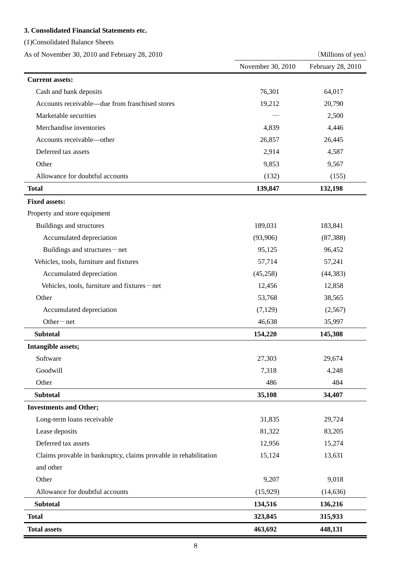## **3. Consolidated Financial Statements etc.**

(1)Consolidated Balance Sheets

As of November 30, 2010 and February 28, 2010 (Millions of yen)

|                                                                  | November 30, 2010 | February 28, 2010 |
|------------------------------------------------------------------|-------------------|-------------------|
| <b>Current assets:</b>                                           |                   |                   |
| Cash and bank deposits                                           | 76,301            | 64,017            |
| Accounts receivable—due from franchised stores                   | 19,212            | 20,790            |
| Marketable securities                                            |                   | 2,500             |
| Merchandise inventories                                          | 4,839             | 4,446             |
| Accounts receivable-other                                        | 26,857            | 26,445            |
| Deferred tax assets                                              | 2,914             | 4,587             |
| Other                                                            | 9,853             | 9,567             |
| Allowance for doubtful accounts                                  | (132)             | (155)             |
| <b>Total</b>                                                     | 139,847           | 132,198           |
| <b>Fixed assets:</b>                                             |                   |                   |
| Property and store equipment                                     |                   |                   |
| Buildings and structures                                         | 189,031           | 183,841           |
| Accumulated depreciation                                         | (93,906)          | (87, 388)         |
| Buildings and structures-net                                     | 95,125            | 96,452            |
| Vehicles, tools, furniture and fixtures                          | 57,714            | 57,241            |
| Accumulated depreciation                                         | (45,258)          | (44, 383)         |
| Vehicles, tools, furniture and fixtures-net                      | 12,456            | 12,858            |
| Other                                                            | 53,768            | 38,565            |
| Accumulated depreciation                                         | (7,129)           | (2,567)           |
| $Other-net$                                                      | 46,638            | 35,997            |
| <b>Subtotal</b>                                                  | 154,220           | 145,308           |
| Intangible assets;                                               |                   |                   |
| Software                                                         | 27,303            | 29,674            |
| Goodwill                                                         | 7,318             | 4,248             |
| Other                                                            | 486               | 484               |
| <b>Subtotal</b>                                                  | 35,108            | 34,407            |
| <b>Investments and Other;</b>                                    |                   |                   |
| Long-term loans receivable                                       | 31,835            | 29,724            |
| Lease deposits                                                   | 81,322            | 83,205            |
| Deferred tax assets                                              | 12,956            | 15,274            |
| Claims provable in bankruptcy, claims provable in rehabilitation | 15,124            | 13,631            |
| and other                                                        |                   |                   |
| Other                                                            | 9,207             | 9,018             |
| Allowance for doubtful accounts                                  | (15,929)          | (14, 636)         |
| <b>Subtotal</b>                                                  | 134,516           | 136,216           |
| <b>Total</b>                                                     | 323,845           | 315,933           |
| <b>Total assets</b>                                              | 463,692           | 448,131           |

 $\equiv$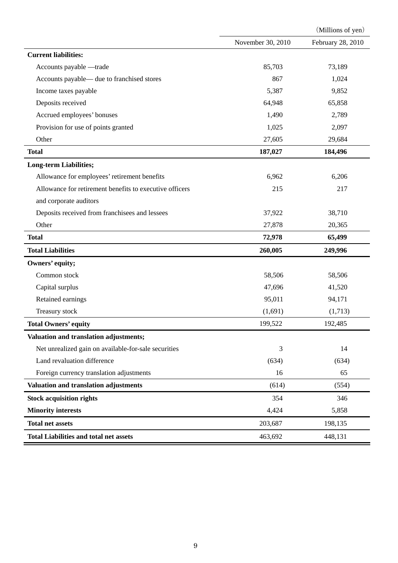|                                                         |                   | (Millions of yen) |
|---------------------------------------------------------|-------------------|-------------------|
|                                                         | November 30, 2010 | February 28, 2010 |
| <b>Current liabilities:</b>                             |                   |                   |
| Accounts payable -trade                                 | 85,703            | 73,189            |
| Accounts payable— due to franchised stores              | 867               | 1,024             |
| Income taxes payable                                    | 5,387             | 9,852             |
| Deposits received                                       | 64,948            | 65,858            |
| Accrued employees' bonuses                              | 1,490             | 2,789             |
| Provision for use of points granted                     | 1,025             | 2,097             |
| Other                                                   | 27,605            | 29,684            |
| <b>Total</b>                                            | 187,027           | 184,496           |
| <b>Long-term Liabilities;</b>                           |                   |                   |
| Allowance for employees' retirement benefits            | 6,962             | 6,206             |
| Allowance for retirement benefits to executive officers | 215               | 217               |
| and corporate auditors                                  |                   |                   |
| Deposits received from franchisees and lessees          | 37,922            | 38,710            |
| Other                                                   | 27,878            | 20,365            |
| <b>Total</b>                                            | 72,978            | 65,499            |
| <b>Total Liabilities</b>                                | 260,005           | 249,996           |
| Owners' equity;                                         |                   |                   |
| Common stock                                            | 58,506            | 58,506            |
| Capital surplus                                         | 47,696            | 41,520            |
| Retained earnings                                       | 95,011            | 94,171            |
| Treasury stock                                          | (1,691)           | (1,713)           |
| <b>Total Owners' equity</b>                             | 199,522           | 192,485           |
| Valuation and translation adjustments;                  |                   |                   |
| Net unrealized gain on available-for-sale securities    | 3                 | 14                |
| Land revaluation difference                             | (634)             | (634)             |
| Foreign currency translation adjustments                | 16                | 65                |
| Valuation and translation adjustments                   | (614)             | (554)             |
| <b>Stock acquisition rights</b>                         | 354               | 346               |
| <b>Minority interests</b>                               | 4,424             | 5,858             |
| <b>Total net assets</b>                                 | 203,687           | 198,135           |
| <b>Total Liabilities and total net assets</b>           | 463,692           | 448,131           |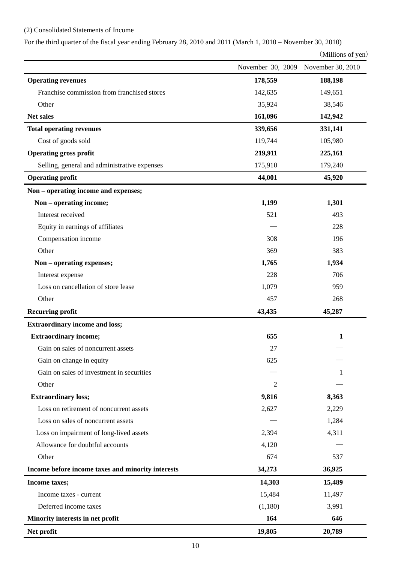# (2) Consolidated Statements of Income

For the third quarter of the fiscal year ending February 28, 2010 and 2011 (March 1, 2010 – November 30, 2010)

(Millions of yen)

|                                                   | November 30, 2009 | November 30, 2010 |
|---------------------------------------------------|-------------------|-------------------|
| <b>Operating revenues</b>                         | 178,559           | 188,198           |
| Franchise commission from franchised stores       | 142,635           | 149,651           |
| Other                                             | 35,924            | 38,546            |
| Net sales                                         | 161,096           | 142,942           |
| <b>Total operating revenues</b>                   | 339,656           | 331,141           |
| Cost of goods sold                                | 119,744           | 105,980           |
| <b>Operating gross profit</b>                     | 219,911           | 225,161           |
| Selling, general and administrative expenses      | 175,910           | 179,240           |
| <b>Operating profit</b>                           | 44,001            | 45,920            |
| Non – operating income and expenses;              |                   |                   |
| Non - operating income;                           | 1,199             | 1,301             |
| Interest received                                 | 521               | 493               |
| Equity in earnings of affiliates                  |                   | 228               |
| Compensation income                               | 308               | 196               |
| Other                                             | 369               | 383               |
| Non - operating expenses;                         | 1,765             | 1,934             |
| Interest expense                                  | 228               | 706               |
| Loss on cancellation of store lease               | 1,079             | 959               |
| Other                                             | 457               | 268               |
| <b>Recurring profit</b>                           | 43,435            | 45,287            |
| <b>Extraordinary income and loss;</b>             |                   |                   |
| <b>Extraordinary income;</b>                      | 655               | $\mathbf{1}$      |
| Gain on sales of noncurrent assets                | 27                |                   |
| Gain on change in equity                          | 625               |                   |
| Gain on sales of investment in securities         |                   | 1                 |
| Other                                             | 2                 |                   |
| <b>Extraordinary loss;</b>                        | 9,816             | 8,363             |
| Loss on retirement of noncurrent assets           | 2,627             | 2,229             |
| Loss on sales of noncurrent assets                |                   | 1,284             |
| Loss on impairment of long-lived assets           | 2,394             | 4,311             |
| Allowance for doubtful accounts                   | 4,120             |                   |
| Other                                             | 674               | 537               |
| Income before income taxes and minority interests | 34,273            | 36,925            |
| Income taxes;                                     | 14,303            | 15,489            |
| Income taxes - current                            | 15,484            | 11,497            |
| Deferred income taxes                             | (1,180)           | 3,991             |
| Minority interests in net profit                  | 164               | 646               |
| Net profit                                        | 19,805            | 20,789            |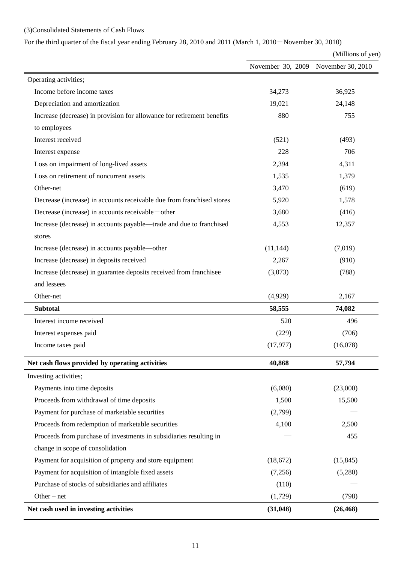# (3)Consolidated Statements of Cash Flows

For the third quarter of the fiscal year ending February 28, 2010 and 2011 (March 1, 2010-November 30, 2010)

(Millions of yen)

|                                                                        | November 30, 2009 November 30, 2010 |           |
|------------------------------------------------------------------------|-------------------------------------|-----------|
| Operating activities;                                                  |                                     |           |
| Income before income taxes                                             | 34,273                              | 36,925    |
| Depreciation and amortization                                          | 19,021                              | 24,148    |
| Increase (decrease) in provision for allowance for retirement benefits | 880                                 | 755       |
| to employees                                                           |                                     |           |
| Interest received                                                      | (521)                               | (493)     |
| Interest expense                                                       | 228                                 | 706       |
| Loss on impairment of long-lived assets                                | 2,394                               | 4,311     |
| Loss on retirement of noncurrent assets                                | 1,535                               | 1,379     |
| Other-net                                                              | 3,470                               | (619)     |
| Decrease (increase) in accounts receivable due from franchised stores  | 5,920                               | 1,578     |
| Decrease (increase) in accounts receivable – other                     | 3,680                               | (416)     |
| Increase (decrease) in accounts payable—trade and due to franchised    | 4,553                               | 12,357    |
| stores                                                                 |                                     |           |
| Increase (decrease) in accounts payable—other                          | (11, 144)                           | (7,019)   |
| Increase (decrease) in deposits received                               | 2,267                               | (910)     |
| Increase (decrease) in guarantee deposits received from franchisee     | (3,073)                             | (788)     |
| and lessees                                                            |                                     |           |
| Other-net                                                              | (4,929)                             | 2,167     |
| <b>Subtotal</b>                                                        | 58,555                              | 74,082    |
| Interest income received                                               | 520                                 | 496       |
| Interest expenses paid                                                 | (229)                               | (706)     |
| Income taxes paid                                                      | (17, 977)                           | (16,078)  |
| Net cash flows provided by operating activities                        | 40,868                              | 57,794    |
| Investing activities;                                                  |                                     |           |
| Payments into time deposits                                            | (6,080)                             | (23,000)  |
| Proceeds from withdrawal of time deposits                              | 1,500                               | 15,500    |
| Payment for purchase of marketable securities                          | (2,799)                             |           |
| Proceeds from redemption of marketable securities                      | 4,100                               | 2,500     |
| Proceeds from purchase of investments in subsidiaries resulting in     |                                     | 455       |
| change in scope of consolidation                                       |                                     |           |
| Payment for acquisition of property and store equipment                | (18,672)                            | (15, 845) |
| Payment for acquisition of intangible fixed assets                     | (7,256)                             | (5,280)   |
| Purchase of stocks of subsidiaries and affiliates                      | (110)                               |           |
| Other $-$ net                                                          | (1,729)                             | (798)     |
| Net cash used in investing activities                                  | (31, 048)                           | (26, 468) |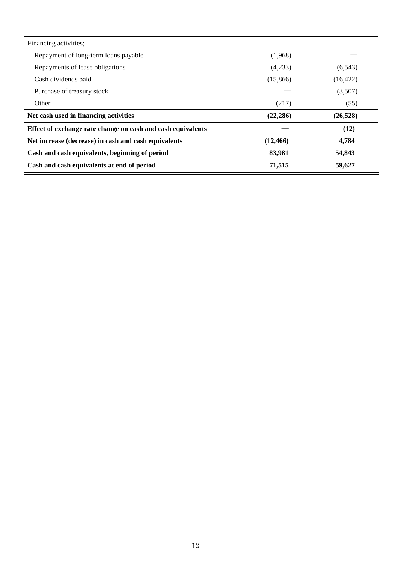| Financing activities;                                       |           |           |
|-------------------------------------------------------------|-----------|-----------|
| Repayment of long-term loans payable                        | (1,968)   |           |
| Repayments of lease obligations                             | (4,233)   | (6, 543)  |
| Cash dividends paid                                         | (15,866)  | (16, 422) |
| Purchase of treasury stock                                  |           | (3,507)   |
| Other                                                       | (217)     | (55)      |
| Net cash used in financing activities                       | (22, 286) | (26, 528) |
| Effect of exchange rate change on cash and cash equivalents |           | (12)      |
| Net increase (decrease) in cash and cash equivalents        | (12, 466) | 4,784     |
| Cash and cash equivalents, beginning of period              | 83,981    | 54,843    |
| Cash and cash equivalents at end of period                  | 71,515    | 59,627    |